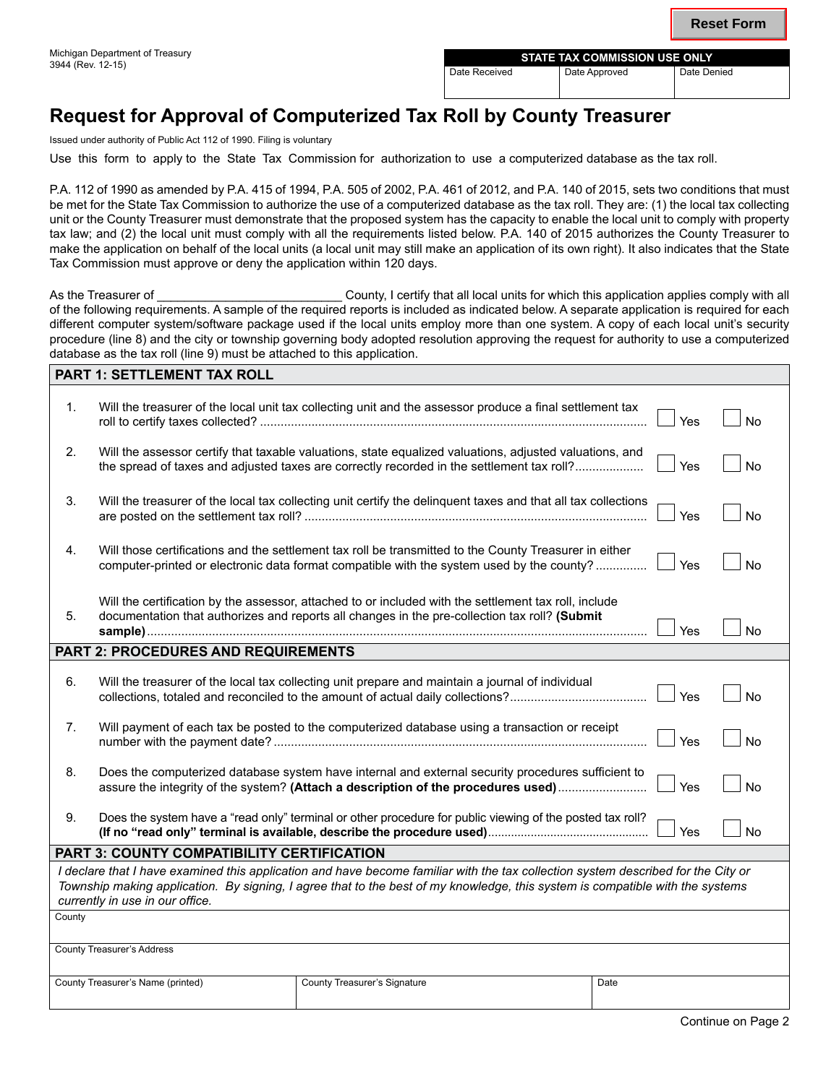| MICHIGAH DEDAHUHEHL OF HEASULY<br>3944 (Rev. 12-15) | <b>STATE TAX COMMISSION USE ONLY</b> |               |             |  |  |
|-----------------------------------------------------|--------------------------------------|---------------|-------------|--|--|
|                                                     | Date Received                        | Date Approved | Date Denied |  |  |
|                                                     |                                      |               |             |  |  |

## **Request for Approval of Computerized Tax Roll by County Treasurer**

Issued under authority of Public Act 112 of 1990. Filing is voluntary

**PART 1: SEET EMELY FAMILY** 

Use this form to apply to the State Tax Commission for authorization to use a computerized database as the tax roll.

P.A. 112 of 1990 as amended by P.A. 415 of 1994, P.A. 505 of 2002, P.A. 461 of 2012, and P.A. 140 of 2015, sets two conditions that must be met for the State Tax Commission to authorize the use of a computerized database as the tax roll. They are: (1) the local tax collecting unit or the County Treasurer must demonstrate that the proposed system has the capacity to enable the local unit to comply with property tax law; and (2) the local unit must comply with all the requirements listed below. P.A. 140 of 2015 authorizes the County Treasurer to make the application on behalf of the local units (a local unit may still make an application of its own right). It also indicates that the State Tax Commission must approve or deny the application within 120 days.

As the Treasurer of **Exercical County, I certify that all local units for which this application applies comply with all** of the following requirements. A sample of the required reports is included as indicated below. A separate application is required for each different computer system/software package used if the local units employ more than one system. A copy of each local unit's security procedure (line 8) and the city or township governing body adopted resolution approving the request for authority to use a computerized database as the tax roll (line 9) must be attached to this application.

|                                                                                                                                                                                                                                                                                                       | PARI 1: SETILEMENT IAX ROLL                                                                                                                                                                                 |                                                                                                                                                                                                        |      |     |           |  |
|-------------------------------------------------------------------------------------------------------------------------------------------------------------------------------------------------------------------------------------------------------------------------------------------------------|-------------------------------------------------------------------------------------------------------------------------------------------------------------------------------------------------------------|--------------------------------------------------------------------------------------------------------------------------------------------------------------------------------------------------------|------|-----|-----------|--|
| 1.                                                                                                                                                                                                                                                                                                    |                                                                                                                                                                                                             | Will the treasurer of the local unit tax collecting unit and the assessor produce a final settlement tax                                                                                               |      | Yes | <b>No</b> |  |
| 2.                                                                                                                                                                                                                                                                                                    |                                                                                                                                                                                                             | Will the assessor certify that taxable valuations, state equalized valuations, adjusted valuations, and<br>the spread of taxes and adjusted taxes are correctly recorded in the settlement tax roll?   |      | Yes | <b>No</b> |  |
| 3.                                                                                                                                                                                                                                                                                                    |                                                                                                                                                                                                             | Will the treasurer of the local tax collecting unit certify the delinquent taxes and that all tax collections                                                                                          |      | Yes | <b>No</b> |  |
| 4.                                                                                                                                                                                                                                                                                                    |                                                                                                                                                                                                             | Will those certifications and the settlement tax roll be transmitted to the County Treasurer in either<br>computer-printed or electronic data format compatible with the system used by the county?    |      | Yes | <b>No</b> |  |
| 5.                                                                                                                                                                                                                                                                                                    |                                                                                                                                                                                                             | Will the certification by the assessor, attached to or included with the settlement tax roll, include<br>documentation that authorizes and reports all changes in the pre-collection tax roll? (Submit |      | Yes | <b>No</b> |  |
| <b>PART 2: PROCEDURES AND REQUIREMENTS</b>                                                                                                                                                                                                                                                            |                                                                                                                                                                                                             |                                                                                                                                                                                                        |      |     |           |  |
| 6.                                                                                                                                                                                                                                                                                                    |                                                                                                                                                                                                             | Will the treasurer of the local tax collecting unit prepare and maintain a journal of individual                                                                                                       |      | Yes | <b>No</b> |  |
| 7.                                                                                                                                                                                                                                                                                                    |                                                                                                                                                                                                             | Will payment of each tax be posted to the computerized database using a transaction or receipt                                                                                                         |      | Yes | <b>No</b> |  |
| 8.                                                                                                                                                                                                                                                                                                    | Does the computerized database system have internal and external security procedures sufficient to<br><b>No</b><br>assure the integrity of the system? (Attach a description of the procedures used)<br>Yes |                                                                                                                                                                                                        |      |     |           |  |
| 9.                                                                                                                                                                                                                                                                                                    |                                                                                                                                                                                                             | Does the system have a "read only" terminal or other procedure for public viewing of the posted tax roll?                                                                                              |      | Yes | No        |  |
| PART 3: COUNTY COMPATIBILITY CERTIFICATION                                                                                                                                                                                                                                                            |                                                                                                                                                                                                             |                                                                                                                                                                                                        |      |     |           |  |
| I declare that I have examined this application and have become familiar with the tax collection system described for the City or<br>Township making application. By signing, I agree that to the best of my knowledge, this system is compatible with the systems<br>currently in use in our office. |                                                                                                                                                                                                             |                                                                                                                                                                                                        |      |     |           |  |
| County                                                                                                                                                                                                                                                                                                |                                                                                                                                                                                                             |                                                                                                                                                                                                        |      |     |           |  |
|                                                                                                                                                                                                                                                                                                       |                                                                                                                                                                                                             |                                                                                                                                                                                                        |      |     |           |  |
| <b>County Treasurer's Address</b>                                                                                                                                                                                                                                                                     |                                                                                                                                                                                                             |                                                                                                                                                                                                        |      |     |           |  |
|                                                                                                                                                                                                                                                                                                       | County Treasurer's Name (printed)                                                                                                                                                                           | County Treasurer's Signature                                                                                                                                                                           | Date |     |           |  |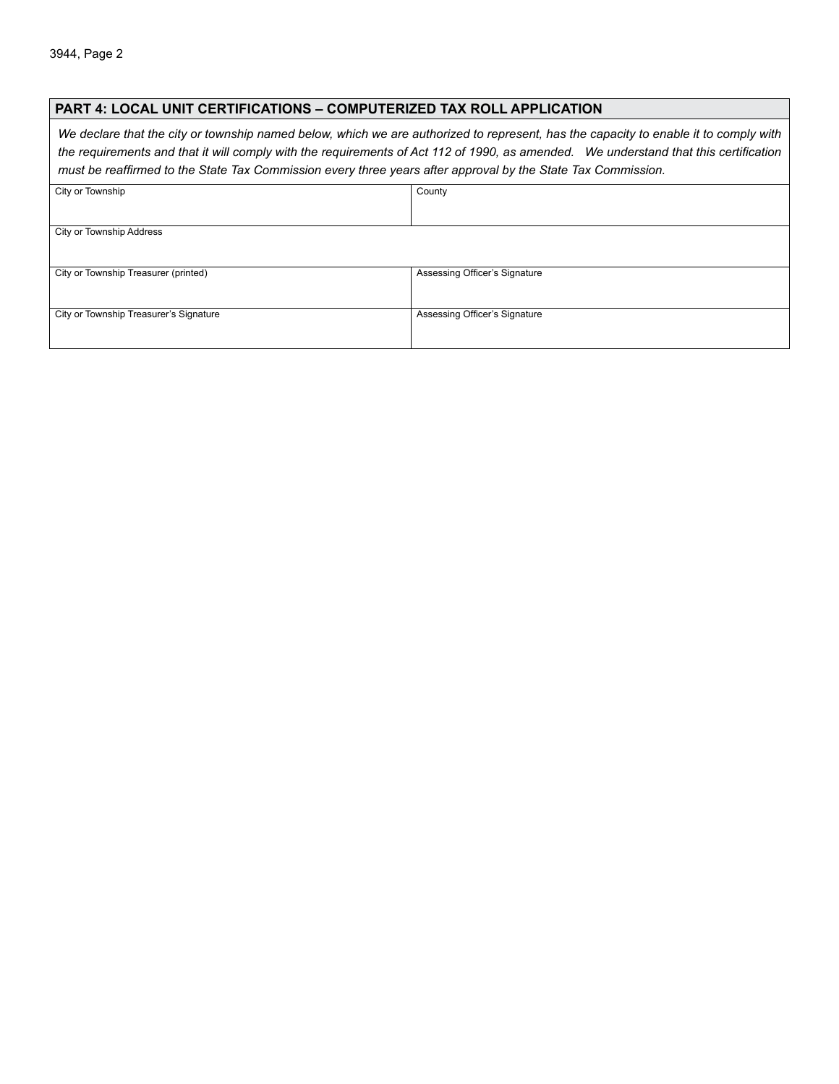#### **PART 4: LOCAL UNIT CERTIFICATIONS – Computerized Tax Roll Application**

*We declare that the city or township named below, which we are authorized to represent, has the capacity to enable it to comply with the requirements and that it will comply with the requirements of Act 112 of 1990, as amended. We understand that this certification must be reaffirmed to the State Tax Commission every three years after approval by the State Tax Commission.*

| City or Township                       | County                        |  |
|----------------------------------------|-------------------------------|--|
|                                        |                               |  |
|                                        |                               |  |
| City or Township Address               |                               |  |
|                                        |                               |  |
| City or Township Treasurer (printed)   | Assessing Officer's Signature |  |
| City or Township Treasurer's Signature | Assessing Officer's Signature |  |